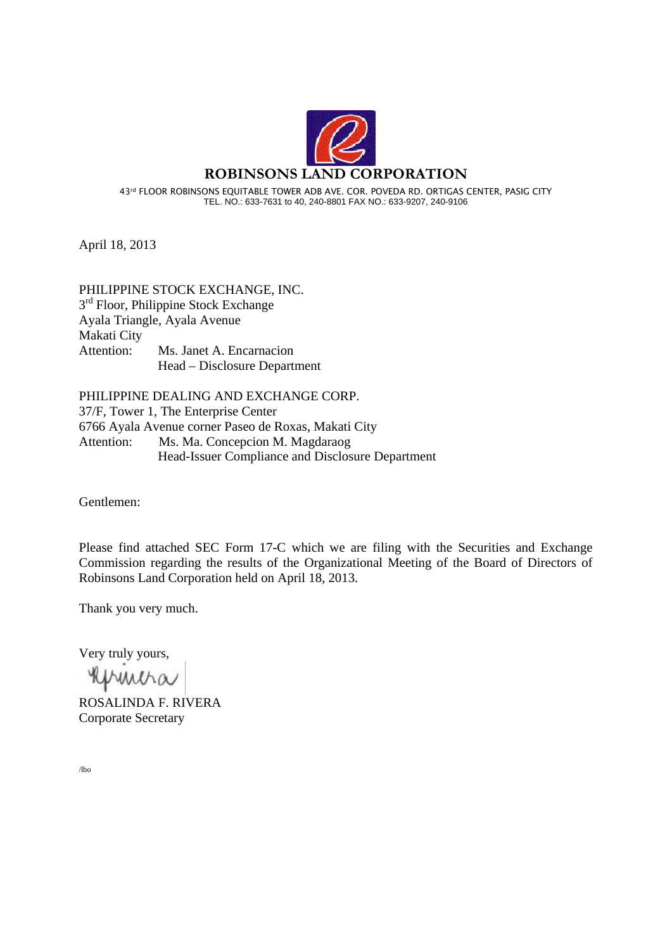

April 18, 2013

## PHILIPPINE STOCK EXCHANGE, INC. 3<sup>rd</sup> Floor, Philippine Stock Exchange Ayala Triangle, Ayala Avenue Makati City Attention: Ms. Janet A. Encarnacion Head – Disclosure Department

PHILIPPINE DEALING AND EXCHANGE CORP. 37/F, Tower 1, The Enterprise Center 6766 Ayala Avenue corner Paseo de Roxas, Makati City Attention: Ms. Ma. Concepcion M. Magdaraog Head-Issuer Compliance and Disclosure Department

Gentlemen:

Please find attached SEC Form 17-C which we are filing with the Securities and Exchange Commission regarding the results of the Organizational Meeting of the Board of Directors of Robinsons Land Corporation held on April 18, 2013.

Thank you very much.

Very truly yours,

Refrencha

ROSALINDA F. RIVERA Corporate Secretary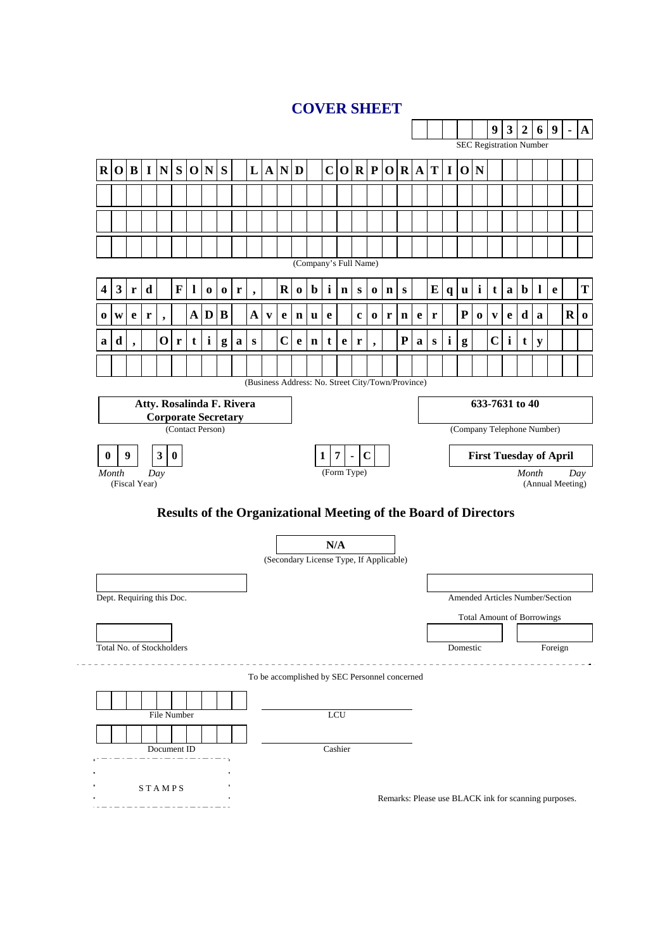# **COVER SHEET**

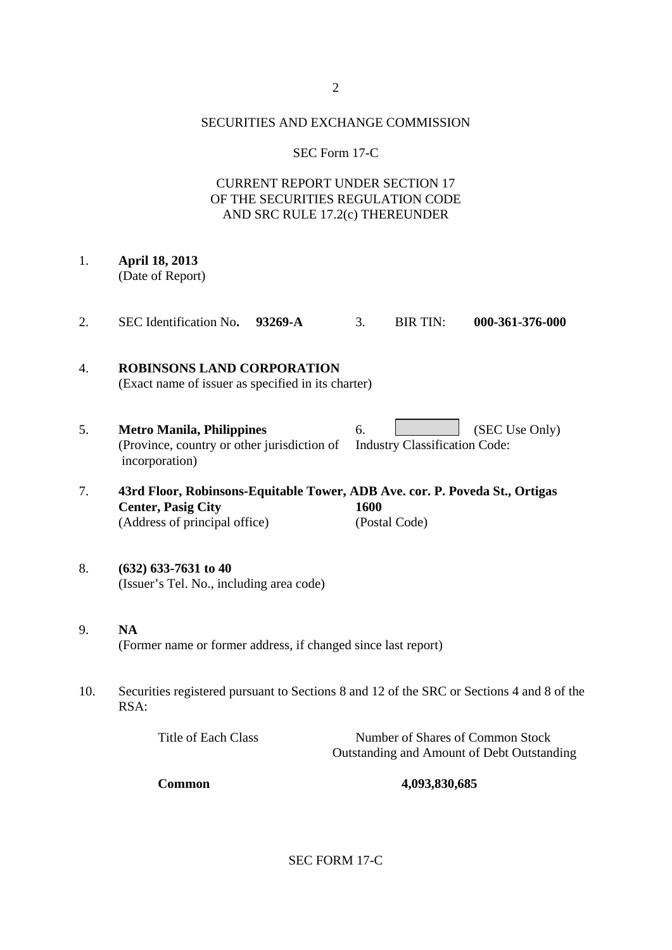### SECURITIES AND EXCHANGE COMMISSION

## SEC Form 17-C

## CURRENT REPORT UNDER SECTION 17 OF THE SECURITIES REGULATION CODE AND SRC RULE 17.2(c) THEREUNDER

- 1. **April 18, 2013**  (Date of Report)
- 2. SEC Identification No**. 93269-A** 3. BIR TIN: **000-361-376-000**

## 4. **ROBINSONS LAND CORPORATION**  (Exact name of issuer as specified in its charter)

- 5. **Metro Manila, Philippines** 6. (SEC Use Only) (Province, country or other jurisdiction of Industry Classification Code: incorporation)
- 7. **43rd Floor, Robinsons-Equitable Tower, ADB Ave. cor. P. Poveda St., Ortigas Center, Pasig City 1600**  (Address of principal office) (Postal Code)

## 8. **(632) 633-7631 to 40**  (Issuer's Tel. No., including area code)

- 9. **NA**  (Former name or former address, if changed since last report)
- 10. Securities registered pursuant to Sections 8 and 12 of the SRC or Sections 4 and 8 of the RSA:

| Title of Each Class | Number of Shares of Common Stock           |
|---------------------|--------------------------------------------|
|                     | Outstanding and Amount of Debt Outstanding |

**Common 4,093,830,685** 

SEC FORM 17-C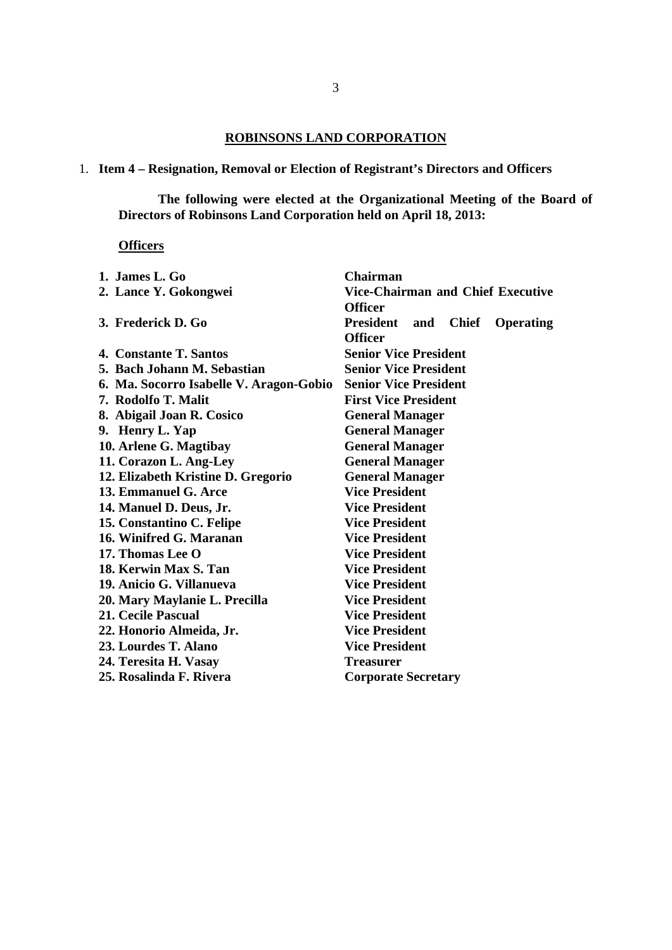## **ROBINSONS LAND CORPORATION**

1. **Item 4 – Resignation, Removal or Election of Registrant's Directors and Officers** 

**The following were elected at the Organizational Meeting of the Board of Directors of Robinsons Land Corporation held on April 18, 2013:** 

### **Officers**

| 1. James L. $Go$                        | <b>Chairman</b>                                      |
|-----------------------------------------|------------------------------------------------------|
| 2. Lance Y. Gokongwei                   | <b>Vice-Chairman and Chief Executive</b>             |
|                                         | <b>Officer</b>                                       |
| 3. Frederick D. Go                      | <b>President</b><br>Chief<br><b>Operating</b><br>and |
|                                         | <b>Officer</b>                                       |
| 4. Constante T. Santos                  | <b>Senior Vice President</b>                         |
| 5. Bach Johann M. Sebastian             | <b>Senior Vice President</b>                         |
| 6. Ma. Socorro Isabelle V. Aragon-Gobio | <b>Senior Vice President</b>                         |
| 7. Rodolfo T. Malit                     | <b>First Vice President</b>                          |
| 8. Abigail Joan R. Cosico               | <b>General Manager</b>                               |
| 9. Henry L. Yap                         | <b>General Manager</b>                               |
| 10. Arlene G. Magtibay                  | <b>General Manager</b>                               |
| 11. Corazon L. Ang-Ley                  | <b>General Manager</b>                               |
| 12. Elizabeth Kristine D. Gregorio      | <b>General Manager</b>                               |
| 13. Emmanuel G. Arce                    | <b>Vice President</b>                                |
| 14. Manuel D. Deus, Jr.                 | <b>Vice President</b>                                |
| 15. Constantino C. Felipe               | <b>Vice President</b>                                |
| 16. Winifred G. Maranan                 | <b>Vice President</b>                                |
| 17. Thomas Lee O                        | <b>Vice President</b>                                |
| 18. Kerwin Max S. Tan                   | <b>Vice President</b>                                |
| 19. Anicio G. Villanueva                | <b>Vice President</b>                                |
| 20. Mary Maylanie L. Precilla           | <b>Vice President</b>                                |
| 21. Cecile Pascual                      | <b>Vice President</b>                                |
| 22. Honorio Almeida, Jr.                | <b>Vice President</b>                                |
| 23. Lourdes T. Alano                    | <b>Vice President</b>                                |
| 24. Teresita H. Vasay                   | <b>Treasurer</b>                                     |
| 25. Rosalinda F. Rivera                 | <b>Corporate Secretary</b>                           |
|                                         |                                                      |